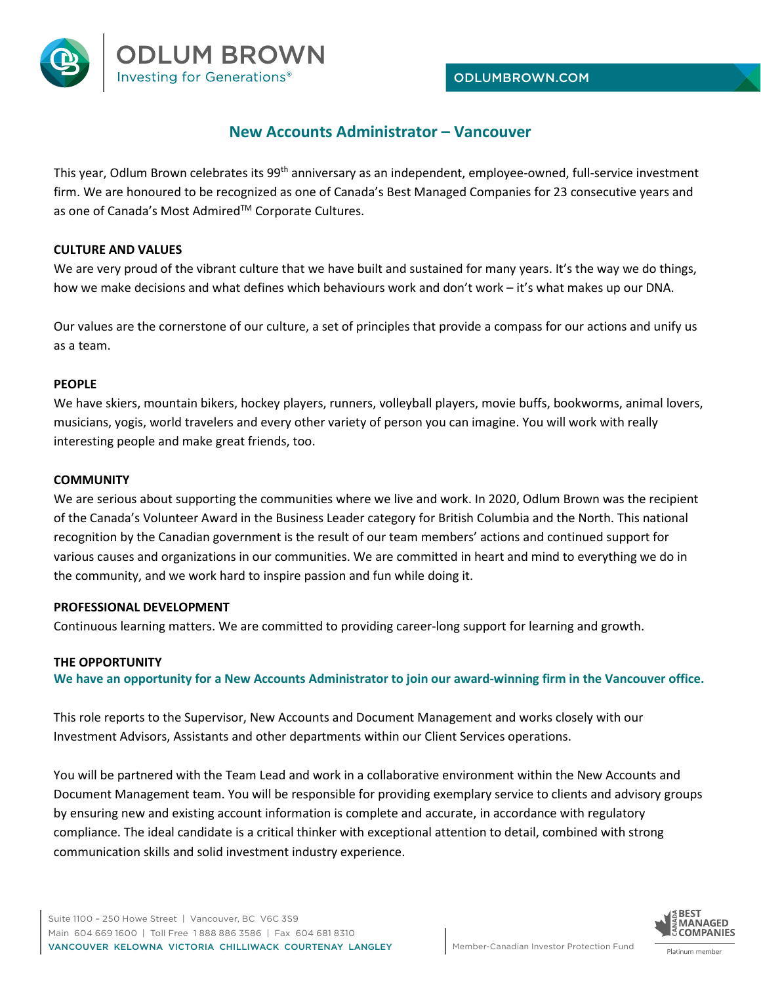

# **New Accounts Administrator – Vancouver**

This year, Odlum Brown celebrates its 99<sup>th</sup> anniversary as an independent, employee-owned, full-service investment firm. We are honoured to be recognized as one of Canada's Best Managed Companies for 23 consecutive years and as one of Canada's Most Admired™ Corporate Cultures.

## **CULTURE AND VALUES**

We are very proud of the vibrant culture that we have built and sustained for many years. It's the way we do things, how we make decisions and what defines which behaviours work and don't work – it's what makes up our DNA.

Our values are the cornerstone of our culture, a set of principles that provide a compass for our actions and unify us as a team.

#### **PEOPLE**

We have skiers, mountain bikers, hockey players, runners, volleyball players, movie buffs, bookworms, animal lovers, musicians, yogis, world travelers and every other variety of person you can imagine. You will work with really interesting people and make great friends, too.

## **COMMUNITY**

We are serious about supporting the communities where we live and work. In 2020, Odlum Brown was the recipient of the Canada's Volunteer Award in the Business Leader category for British Columbia and the North. This national recognition by the Canadian government is the result of our team members' actions and continued support for various causes and organizations in our communities. We are committed in heart and mind to everything we do in the community, and we work hard to inspire passion and fun while doing it.

#### **PROFESSIONAL DEVELOPMENT**

Continuous learning matters. We are committed to providing career-long support for learning and growth.

#### **THE OPPORTUNITY**

**We have an opportunity for a New Accounts Administrator to join our award-winning firm in the Vancouver office.** 

This role reports to the Supervisor, New Accounts and Document Management and works closely with our Investment Advisors, Assistants and other departments within our Client Services operations.

You will be partnered with the Team Lead and work in a collaborative environment within the New Accounts and Document Management team. You will be responsible for providing exemplary service to clients and advisory groups by ensuring new and existing account information is complete and accurate, in accordance with regulatory compliance. The ideal candidate is a critical thinker with exceptional attention to detail, combined with strong communication skills and solid investment industry experience.